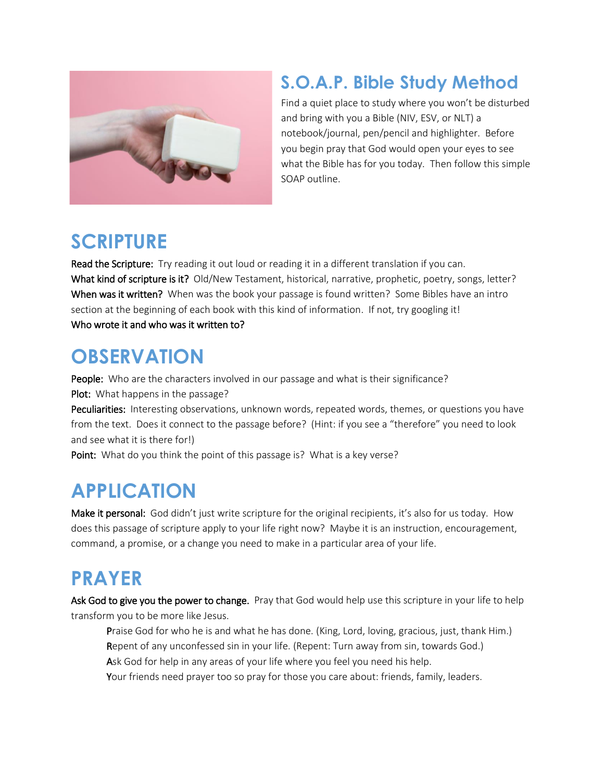

#### **S.O.A.P. Bible Study Method**

Find a quiet place to study where you won't be disturbed and bring with you a Bible (NIV, ESV, or NLT) a notebook/journal, pen/pencil and highlighter. Before you begin pray that God would open your eyes to see what the Bible has for you today. Then follow this simple SOAP outline.

#### **SCRIPTURE**

Read the Scripture: Try reading it out loud or reading it in a different translation if you can. What kind of scripture is it? Old/New Testament, historical, narrative, prophetic, poetry, songs, letter? When was it written? When was the book your passage is found written? Some Bibles have an intro section at the beginning of each book with this kind of information. If not, try googling it! Who wrote it and who was it written to?

## **OBSERVATION**

People: Who are the characters involved in our passage and what is their significance? Plot: What happens in the passage? Peculiarities: Interesting observations, unknown words, repeated words, themes, or questions you have from the text. Does it connect to the passage before? (Hint: if you see a "therefore" you need to look and see what it is there for!)

Point: What do you think the point of this passage is? What is a key verse?

# **APPLICATION**

Make it personal: God didn't just write scripture for the original recipients, it's also for us today. How does this passage of scripture apply to your life right now? Maybe it is an instruction, encouragement, command, a promise, or a change you need to make in a particular area of your life.

# **PRAYER**

Ask God to give you the power to change. Pray that God would help use this scripture in your life to help transform you to be more like Jesus.

Praise God for who he is and what he has done. (King, Lord, loving, gracious, just, thank Him.) Repent of any unconfessed sin in your life. (Repent: Turn away from sin, towards God.)

Ask God for help in any areas of your life where you feel you need his help.

Your friends need prayer too so pray for those you care about: friends, family, leaders.